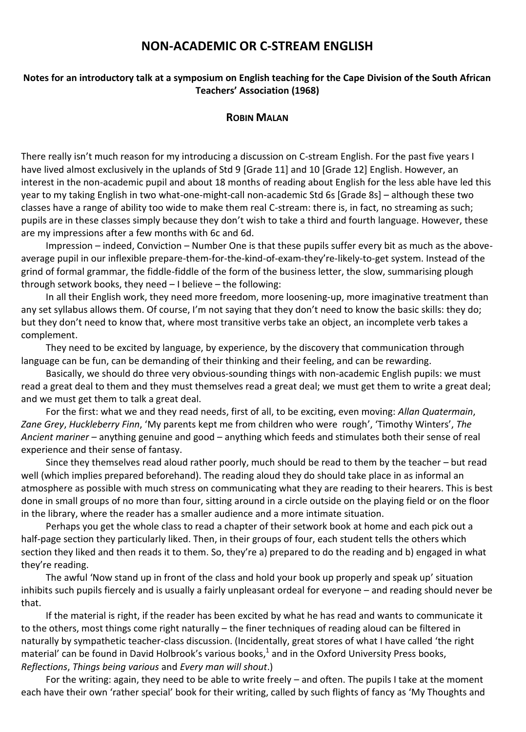# **NON-ACADEMIC OR C-STREAM ENGLISH**

## **Notes for an introductory talk at a symposium on English teaching for the Cape Division of the South African Teachers' Association (1968)**

## **ROBIN MALAN**

There really isn't much reason for my introducing a discussion on C-stream English. For the past five years I have lived almost exclusively in the uplands of Std 9 [Grade 11] and 10 [Grade 12] English. However, an interest in the non-academic pupil and about 18 months of reading about English for the less able have led this year to my taking English in two what-one-might-call non-academic Std 6s [Grade 8s] – although these two classes have a range of ability too wide to make them real C-stream: there is, in fact, no streaming as such; pupils are in these classes simply because they don't wish to take a third and fourth language. However, these are my impressions after a few months with 6c and 6d.

Impression – indeed, Conviction – Number One is that these pupils suffer every bit as much as the aboveaverage pupil in our inflexible prepare-them-for-the-kind-of-exam-they're-likely-to-get system. Instead of the grind of formal grammar, the fiddle-fiddle of the form of the business letter, the slow, summarising plough through setwork books, they need – I believe – the following:

In all their English work, they need more freedom, more loosening-up, more imaginative treatment than any set syllabus allows them. Of course, I'm not saying that they don't need to know the basic skills: they do; but they don't need to know that, where most transitive verbs take an object, an incomplete verb takes a complement.

They need to be excited by language, by experience, by the discovery that communication through language can be fun, can be demanding of their thinking and their feeling, and can be rewarding.

Basically, we should do three very obvious-sounding things with non-academic English pupils: we must read a great deal to them and they must themselves read a great deal; we must get them to write a great deal; and we must get them to talk a great deal.

For the first: what we and they read needs, first of all, to be exciting, even moving: *Allan Quatermain*, *Zane Grey*, *Huckleberry Finn*, 'My parents kept me from children who were rough', 'Timothy Winters', *The Ancient mariner* – anything genuine and good – anything which feeds and stimulates both their sense of real experience and their sense of fantasy.

Since they themselves read aloud rather poorly, much should be read to them by the teacher – but read well (which implies prepared beforehand). The reading aloud they do should take place in as informal an atmosphere as possible with much stress on communicating what they are reading to their hearers. This is best done in small groups of no more than four, sitting around in a circle outside on the playing field or on the floor in the library, where the reader has a smaller audience and a more intimate situation.

Perhaps you get the whole class to read a chapter of their setwork book at home and each pick out a half-page section they particularly liked. Then, in their groups of four, each student tells the others which section they liked and then reads it to them. So, they're a) prepared to do the reading and b) engaged in what they're reading.

The awful 'Now stand up in front of the class and hold your book up properly and speak up' situation inhibits such pupils fiercely and is usually a fairly unpleasant ordeal for everyone – and reading should never be that.

If the material is right, if the reader has been excited by what he has read and wants to communicate it to the others, most things come right naturally – the finer techniques of reading aloud can be filtered in naturally by sympathetic teacher-class discussion. (Incidentally, great stores of what I have called 'the right material' can be found in David Holbrook's various books,<sup>1</sup> and in the Oxford University Press books, *Reflections*, *Things being various* and *Every man will shout*.)

For the writing: again, they need to be able to write freely – and often. The pupils I take at the moment each have their own 'rather special' book for their writing, called by such flights of fancy as 'My Thoughts and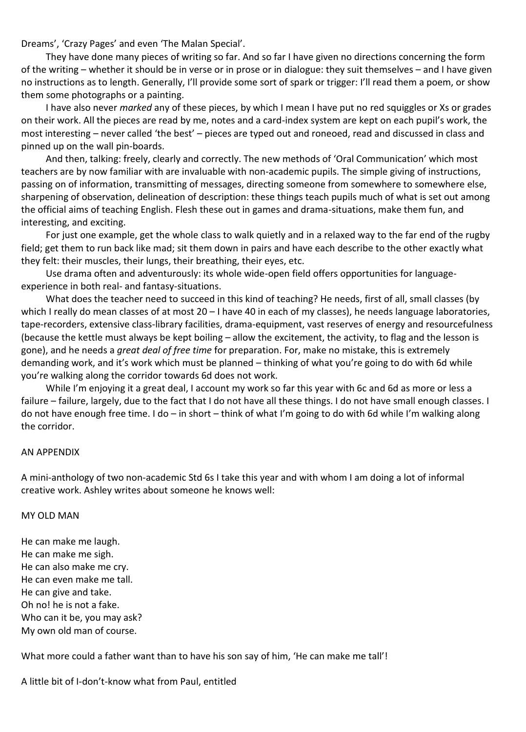Dreams', 'Crazy Pages' and even 'The Malan Special'.

They have done many pieces of writing so far. And so far I have given no directions concerning the form of the writing – whether it should be in verse or in prose or in dialogue: they suit themselves – and I have given no instructions as to length. Generally, I'll provide some sort of spark or trigger: I'll read them a poem, or show them some photographs or a painting.

I have also never *marked* any of these pieces, by which I mean I have put no red squiggles or Xs or grades on their work. All the pieces are read by me, notes and a card-index system are kept on each pupil's work, the most interesting – never called 'the best' – pieces are typed out and roneoed, read and discussed in class and pinned up on the wall pin-boards.

And then, talking: freely, clearly and correctly. The new methods of 'Oral Communication' which most teachers are by now familiar with are invaluable with non-academic pupils. The simple giving of instructions, passing on of information, transmitting of messages, directing someone from somewhere to somewhere else, sharpening of observation, delineation of description: these things teach pupils much of what is set out among the official aims of teaching English. Flesh these out in games and drama-situations, make them fun, and interesting, and exciting.

For just one example, get the whole class to walk quietly and in a relaxed way to the far end of the rugby field; get them to run back like mad; sit them down in pairs and have each describe to the other exactly what they felt: their muscles, their lungs, their breathing, their eyes, etc.

Use drama often and adventurously: its whole wide-open field offers opportunities for languageexperience in both real- and fantasy-situations.

What does the teacher need to succeed in this kind of teaching? He needs, first of all, small classes (by which I really do mean classes of at most 20 – I have 40 in each of my classes), he needs language laboratories, tape-recorders, extensive class-library facilities, drama-equipment, vast reserves of energy and resourcefulness (because the kettle must always be kept boiling – allow the excitement, the activity, to flag and the lesson is gone), and he needs a *great deal of free time* for preparation. For, make no mistake, this is extremely demanding work, and it's work which must be planned – thinking of what you're going to do with 6d while you're walking along the corridor towards 6d does not work.

While I'm enjoying it a great deal, I account my work so far this year with 6c and 6d as more or less a failure – failure, largely, due to the fact that I do not have all these things. I do not have small enough classes. I do not have enough free time. I do – in short – think of what I'm going to do with 6d while I'm walking along the corridor.

#### AN APPENDIX

A mini-anthology of two non-academic Std 6s I take this year and with whom I am doing a lot of informal creative work. Ashley writes about someone he knows well:

#### MY OLD MAN

He can make me laugh. He can make me sigh. He can also make me cry. He can even make me tall. He can give and take. Oh no! he is not a fake. Who can it be, you may ask? My own old man of course.

What more could a father want than to have his son say of him, 'He can make me tall'!

A little bit of I-don't-know what from Paul, entitled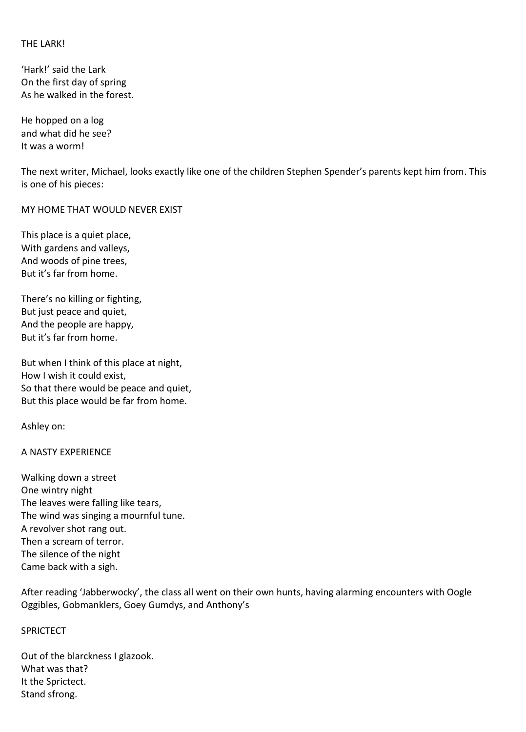## THE LARK!

'Hark!' said the Lark On the first day of spring As he walked in the forest.

He hopped on a log and what did he see? It was a worm!

The next writer, Michael, looks exactly like one of the children Stephen Spender's parents kept him from. This is one of his pieces:

MY HOME THAT WOULD NEVER EXIST

This place is a quiet place, With gardens and valleys, And woods of pine trees, But it's far from home.

There's no killing or fighting, But just peace and quiet, And the people are happy, But it's far from home.

But when I think of this place at night, How I wish it could exist, So that there would be peace and quiet, But this place would be far from home.

Ashley on:

## A NASTY EXPERIENCE

Walking down a street One wintry night The leaves were falling like tears, The wind was singing a mournful tune. A revolver shot rang out. Then a scream of terror. The silence of the night Came back with a sigh.

After reading 'Jabberwocky', the class all went on their own hunts, having alarming encounters with Oogle Oggibles, Gobmanklers, Goey Gumdys, and Anthony's

#### **SPRICTECT**

Out of the blarckness I glazook. What was that? It the Sprictect. Stand sfrong.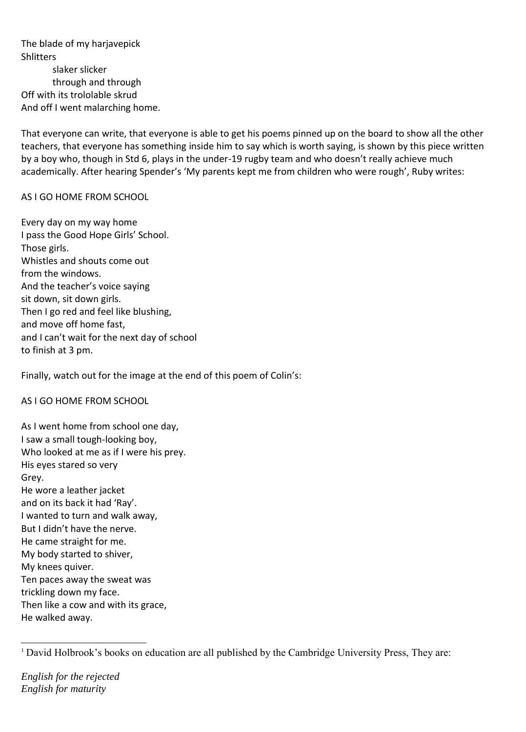The blade of my harjavepick **Shlitters** slaker slicker through and through Off with its trololable skrud And off I went malarching home.

That everyone can write, that everyone is able to get his poems pinned up on the board to show all the other teachers, that everyone has something inside him to say which is worth saying, is shown by this piece written by a boy who, though in Std 6, plays in the under-19 rugby team and who doesn't really achieve much academically. After hearing Spender's 'My parents kept me from children who were rough', Ruby writes:

## AS I GO HOME FROM SCHOOL

Every day on my way home I pass the Good Hope Girls' School. Those girls. Whistles and shouts come out from the windows. And the teacher's voice saying sit down, sit down girls. Then I go red and feel like blushing, and move off home fast, and I can't wait for the next day of school to finish at 3 pm.

Finally, watch out for the image at the end of this poem of Colin's:

AS I GO HOME FROM SCHOOL

As I went home from school one day, I saw a small tough-looking boy, Who looked at me as if I were his prey. His eyes stared so very Grey. He wore a leather jacket and on its back it had 'Ray'. I wanted to turn and walk away, But I didn't have the nerve. He came straight for me. My body started to shiver, My knees quiver. Ten paces away the sweat was trickling down my face. Then like a cow and with its grace, He walked away.

*English for the rejected English for maturity* 

<sup>1</sup> <sup>1</sup> David Holbrook's books on education are all published by the Cambridge University Press, They are: